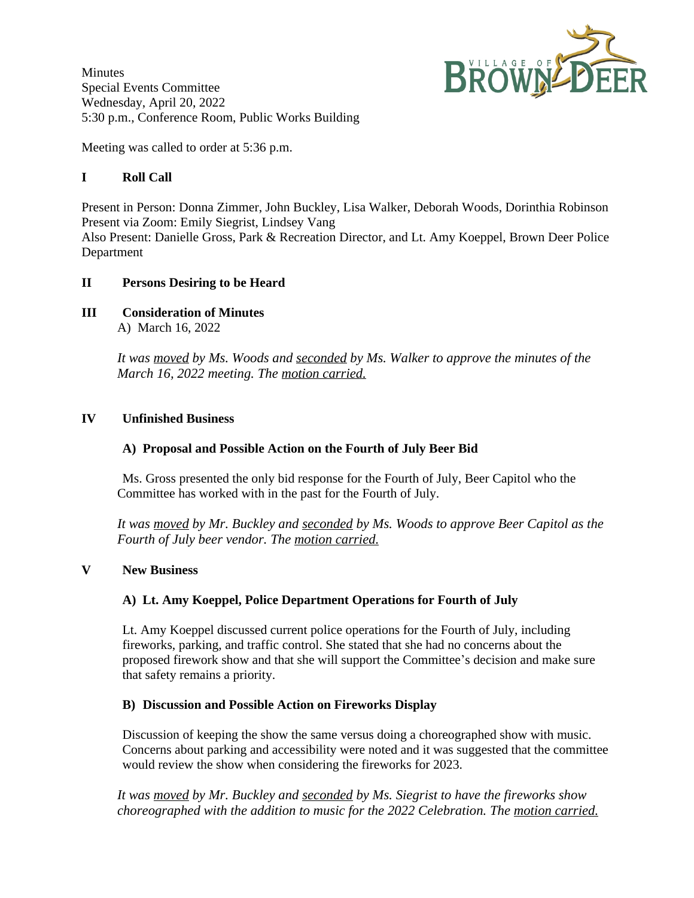**Minutes** Special Events Committee Wednesday, April 20, 2022 5:30 p.m., Conference Room, Public Works Building



Meeting was called to order at 5:36 p.m.

### **I Roll Call**

Present in Person: Donna Zimmer, John Buckley, Lisa Walker, Deborah Woods, Dorinthia Robinson Present via Zoom: Emily Siegrist, Lindsey Vang Also Present: Danielle Gross, Park & Recreation Director, and Lt. Amy Koeppel, Brown Deer Police

Department

### **II Persons Desiring to be Heard**

#### **III Consideration of Minutes**

A) March 16, 2022

*It was moved by Ms. Woods and seconded by Ms. Walker to approve the minutes of the March 16, 2022 meeting. The motion carried.*

### **IV Unfinished Business**

#### **A) Proposal and Possible Action on the Fourth of July Beer Bid**

Ms. Gross presented the only bid response for the Fourth of July, Beer Capitol who the Committee has worked with in the past for the Fourth of July.

*It was moved by Mr. Buckley and seconded by Ms. Woods to approve Beer Capitol as the Fourth of July beer vendor. The motion carried.*

### **V New Business**

#### **A) Lt. Amy Koeppel, Police Department Operations for Fourth of July**

Lt. Amy Koeppel discussed current police operations for the Fourth of July, including fireworks, parking, and traffic control. She stated that she had no concerns about the proposed firework show and that she will support the Committee's decision and make sure that safety remains a priority.

### **B) Discussion and Possible Action on Fireworks Display**

Discussion of keeping the show the same versus doing a choreographed show with music. Concerns about parking and accessibility were noted and it was suggested that the committee would review the show when considering the fireworks for 2023.

*It was moved by Mr. Buckley and seconded by Ms. Siegrist to have the fireworks show choreographed with the addition to music for the 2022 Celebration. The motion carried.*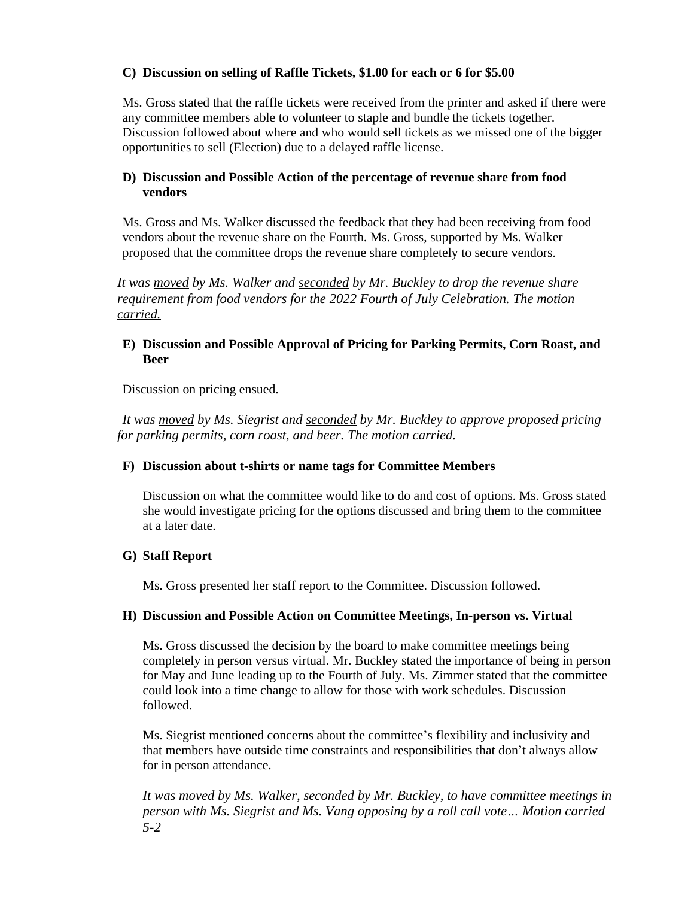# **C) Discussion on selling of Raffle Tickets, \$1.00 for each or 6 for \$5.00**

Ms. Gross stated that the raffle tickets were received from the printer and asked if there were any committee members able to volunteer to staple and bundle the tickets together. Discussion followed about where and who would sell tickets as we missed one of the bigger opportunities to sell (Election) due to a delayed raffle license.

# **D) Discussion and Possible Action of the percentage of revenue share from food vendors**

Ms. Gross and Ms. Walker discussed the feedback that they had been receiving from food vendors about the revenue share on the Fourth. Ms. Gross, supported by Ms. Walker proposed that the committee drops the revenue share completely to secure vendors.

*It was moved by Ms. Walker and seconded by Mr. Buckley to drop the revenue share requirement from food vendors for the 2022 Fourth of July Celebration. The motion carried.*

### **E) Discussion and Possible Approval of Pricing for Parking Permits, Corn Roast, and Beer**

Discussion on pricing ensued.

*It was moved by Ms. Siegrist and seconded by Mr. Buckley to approve proposed pricing for parking permits, corn roast, and beer. The motion carried.*

### **F) Discussion about t-shirts or name tags for Committee Members**

Discussion on what the committee would like to do and cost of options. Ms. Gross stated she would investigate pricing for the options discussed and bring them to the committee at a later date.

### **G) Staff Report**

Ms. Gross presented her staff report to the Committee. Discussion followed.

### **H) Discussion and Possible Action on Committee Meetings, In-person vs. Virtual**

Ms. Gross discussed the decision by the board to make committee meetings being completely in person versus virtual. Mr. Buckley stated the importance of being in person for May and June leading up to the Fourth of July. Ms. Zimmer stated that the committee could look into a time change to allow for those with work schedules. Discussion followed.

Ms. Siegrist mentioned concerns about the committee's flexibility and inclusivity and that members have outside time constraints and responsibilities that don't always allow for in person attendance.

*It was moved by Ms. Walker, seconded by Mr. Buckley, to have committee meetings in person with Ms. Siegrist and Ms. Vang opposing by a roll call vote… Motion carried 5-2*